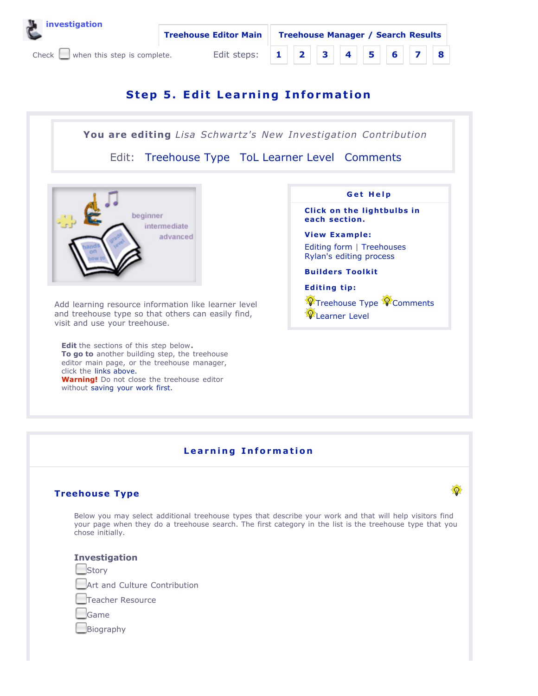



# **Step 5. Edit Learning Information**

# **You are editing** *Lisa Schwartz's New Investigation Contribution*

Edit: Treehouse Type ToL Learner Level Comments



Add learning resource information like learner level and treehouse type so that others can easily find, visit and use your treehouse.

**Edit** the sections of this step below**. To go to** another building step, the treehouse editor main page, or the treehouse manager, click the links above. **Warning!** Do not close the treehouse editor without saving your work first.



**Click on the lightbulbs in each section.**

**View Example:** Editing form | Treehouses Rylan's editing process

**Builders Toolkit**

**Editing tip:**

**W** Treehouse Type **W** Comments **PLearner** Level

Ø

# **L ear n i n g I n format io n**

## **Treehouse Type**

Below you may select additional treehouse types that describe your work and that will help visitors find your page when they do a treehouse search. The first category in the list is the treehouse type that you chose initially.

#### **Investigation**

**Story** 

Art and Culture Contribution

Teacher Resource

Game

Biography